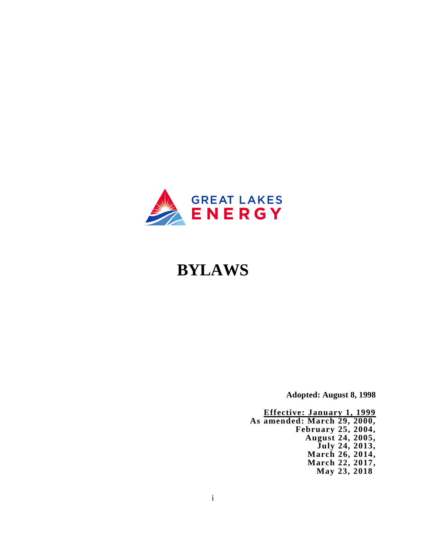

# **BYLAWS**

**Adopted: August 8, 1998**

**Effective: January 1, 1999 As amended: March 29, 2000, February 25, 2004, August 24, 2005, July 24, 2013, March 26, 2014, March 22, 2017, May 23, 2018**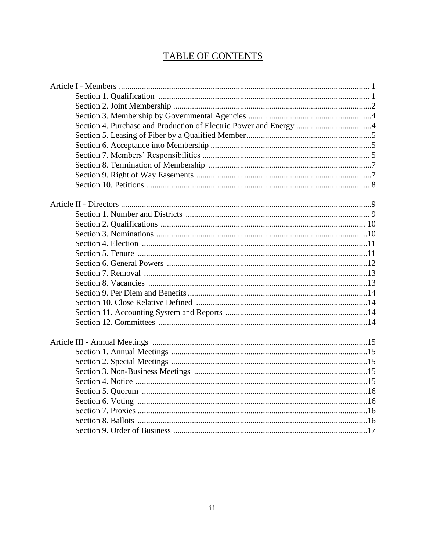# TABLE OF CONTENTS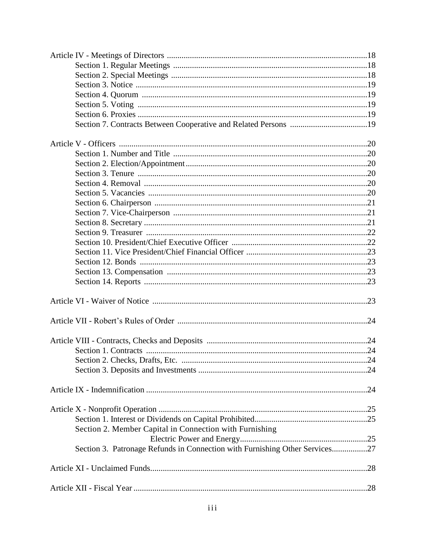| Section 2. Member Capital in Connection with Furnishing                     |  |
|-----------------------------------------------------------------------------|--|
|                                                                             |  |
| Section 3. Patronage Refunds in Connection with Furnishing Other Services27 |  |
|                                                                             |  |
|                                                                             |  |
|                                                                             |  |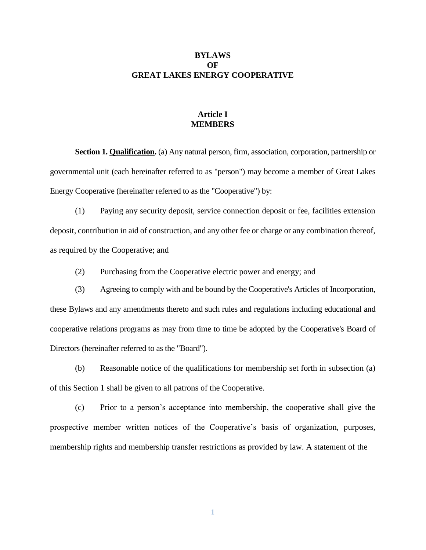# **BYLAWS OF GREAT LAKES ENERGY COOPERATIVE**

# **Article I MEMBERS**

**Section 1. Qualification.** (a) Any natural person, firm, association, corporation, partnership or governmental unit (each hereinafter referred to as "person") may become a member of Great Lakes Energy Cooperative (hereinafter referred to as the "Cooperative") by:

(1) Paying any security deposit, service connection deposit or fee, facilities extension deposit, contribution in aid of construction, and any other fee or charge or any combination thereof, as required by the Cooperative; and

(2) Purchasing from the Cooperative electric power and energy; and

(3) Agreeing to comply with and be bound by the Cooperative's Articles of Incorporation, these Bylaws and any amendments thereto and such rules and regulations including educational and cooperative relations programs as may from time to time be adopted by the Cooperative's Board of Directors (hereinafter referred to as the "Board").

(b) Reasonable notice of the qualifications for membership set forth in subsection (a) of this Section 1 shall be given to all patrons of the Cooperative.

(c) Prior to a person's acceptance into membership, the cooperative shall give the prospective member written notices of the Cooperative's basis of organization, purposes, membership rights and membership transfer restrictions as provided by law. A statement of the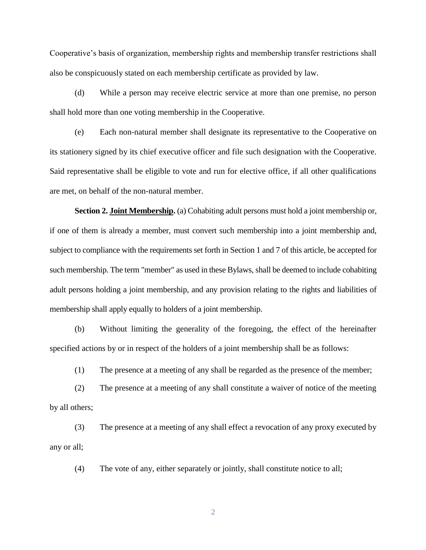Cooperative's basis of organization, membership rights and membership transfer restrictions shall also be conspicuously stated on each membership certificate as provided by law.

(d) While a person may receive electric service at more than one premise, no person shall hold more than one voting membership in the Cooperative.

(e) Each non-natural member shall designate its representative to the Cooperative on its stationery signed by its chief executive officer and file such designation with the Cooperative. Said representative shall be eligible to vote and run for elective office, if all other qualifications are met, on behalf of the non-natural member.

**Section 2. Joint Membership.** (a) Cohabiting adult persons must hold a joint membership or, if one of them is already a member, must convert such membership into a joint membership and, subject to compliance with the requirements set forth in Section 1 and 7 of this article, be accepted for such membership. The term "member" as used in these Bylaws, shall be deemed to include cohabiting adult persons holding a joint membership, and any provision relating to the rights and liabilities of membership shall apply equally to holders of a joint membership.

(b) Without limiting the generality of the foregoing, the effect of the hereinafter specified actions by or in respect of the holders of a joint membership shall be as follows:

(1) The presence at a meeting of any shall be regarded as the presence of the member;

(2) The presence at a meeting of any shall constitute a waiver of notice of the meeting by all others;

(3) The presence at a meeting of any shall effect a revocation of any proxy executed by any or all;

(4) The vote of any, either separately or jointly, shall constitute notice to all;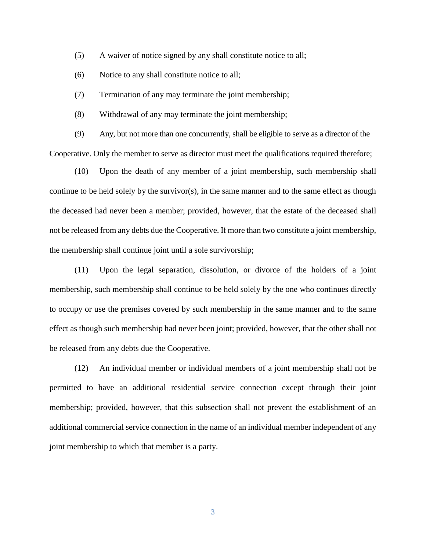- (5) A waiver of notice signed by any shall constitute notice to all;
- (6) Notice to any shall constitute notice to all;
- (7) Termination of any may terminate the joint membership;
- (8) Withdrawal of any may terminate the joint membership;

(9) Any, but not more than one concurrently, shall be eligible to serve as a director of the Cooperative. Only the member to serve as director must meet the qualifications required therefore;

(10) Upon the death of any member of a joint membership, such membership shall continue to be held solely by the survivor(s), in the same manner and to the same effect as though the deceased had never been a member; provided, however, that the estate of the deceased shall not be released from any debts due the Cooperative. If more than two constitute a joint membership, the membership shall continue joint until a sole survivorship;

(11) Upon the legal separation, dissolution, or divorce of the holders of a joint membership, such membership shall continue to be held solely by the one who continues directly to occupy or use the premises covered by such membership in the same manner and to the same effect as though such membership had never been joint; provided, however, that the other shall not be released from any debts due the Cooperative.

(12) An individual member or individual members of a joint membership shall not be permitted to have an additional residential service connection except through their joint membership; provided, however, that this subsection shall not prevent the establishment of an additional commercial service connection in the name of an individual member independent of any joint membership to which that member is a party.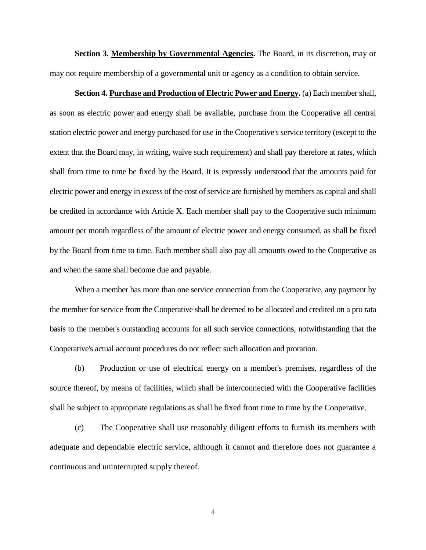**Section 3. Membership by Governmental Agencies.** The Board, in its discretion, may or may not require membership of a governmental unit or agency as a condition to obtain service.

**Section 4. Purchase and Production of Electric Power and Energy.** (a) Each member shall, as soon as electric power and energy shall be available, purchase from the Cooperative all central station electric power and energy purchased for use in the Cooperative's service territory (except to the extent that the Board may, in writing, waive such requirement) and shall pay therefore at rates, which shall from time to time be fixed by the Board. It is expressly understood that the amounts paid for electric power and energy in excess of the cost of service are furnished by members as capital and shall be credited in accordance with Article X. Each member shall pay to the Cooperative such minimum amount per month regardless of the amount of electric power and energy consumed, as shall be fixed by the Board from time to time. Each member shall also pay all amounts owed to the Cooperative as and when the same shall become due and payable.

When a member has more than one service connection from the Cooperative, any payment by the member for service from the Cooperative shall be deemed to be allocated and credited on a pro rata basis to the member's outstanding accounts for all such service connections, notwithstanding that the Cooperative's actual account procedures do not reflect such allocation and proration.

(b) Production or use of electrical energy on a member's premises, regardless of the source thereof, by means of facilities, which shall be interconnected with the Cooperative facilities shall be subject to appropriate regulations as shall be fixed from time to time by the Cooperative.

(c) The Cooperative shall use reasonably diligent efforts to furnish its members with adequate and dependable electric service, although it cannot and therefore does not guarantee a continuous and uninterrupted supply thereof.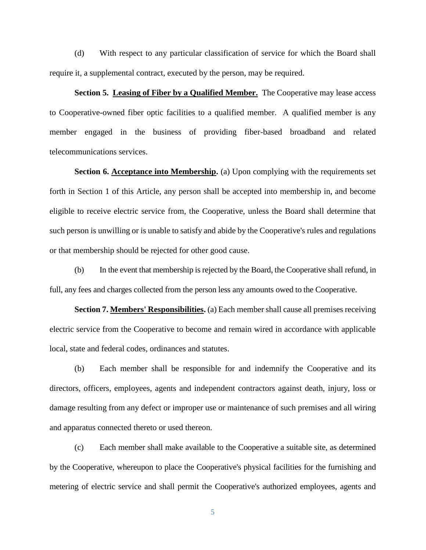(d) With respect to any particular classification of service for which the Board shall require it, a supplemental contract, executed by the person, may be required.

**Section 5. Leasing of Fiber by a Qualified Member.** The Cooperative may lease access to Cooperative-owned fiber optic facilities to a qualified member. A qualified member is any member engaged in the business of providing fiber-based broadband and related telecommunications services.

**Section 6. Acceptance into Membership.** (a) Upon complying with the requirements set forth in Section 1 of this Article, any person shall be accepted into membership in, and become eligible to receive electric service from, the Cooperative, unless the Board shall determine that such person is unwilling or is unable to satisfy and abide by the Cooperative's rules and regulations or that membership should be rejected for other good cause.

(b) In the event that membership is rejected by the Board, the Cooperative shall refund, in full, any fees and charges collected from the person less any amounts owed to the Cooperative.

**Section 7. Members' Responsibilities.** (a) Each member shall cause all premises receiving electric service from the Cooperative to become and remain wired in accordance with applicable local, state and federal codes, ordinances and statutes.

(b) Each member shall be responsible for and indemnify the Cooperative and its directors, officers, employees, agents and independent contractors against death, injury, loss or damage resulting from any defect or improper use or maintenance of such premises and all wiring and apparatus connected thereto or used thereon.

(c) Each member shall make available to the Cooperative a suitable site, as determined by the Cooperative, whereupon to place the Cooperative's physical facilities for the furnishing and metering of electric service and shall permit the Cooperative's authorized employees, agents and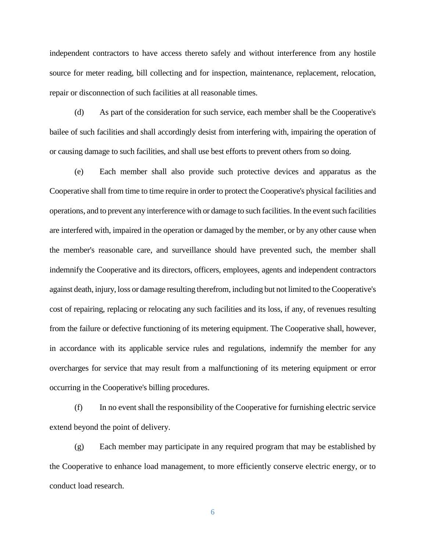independent contractors to have access thereto safely and without interference from any hostile source for meter reading, bill collecting and for inspection, maintenance, replacement, relocation, repair or disconnection of such facilities at all reasonable times.

(d) As part of the consideration for such service, each member shall be the Cooperative's bailee of such facilities and shall accordingly desist from interfering with, impairing the operation of or causing damage to such facilities, and shall use best efforts to prevent others from so doing.

(e) Each member shall also provide such protective devices and apparatus as the Cooperative shall from time to time require in order to protect the Cooperative's physical facilities and operations, and to prevent any interference with or damage to such facilities. In the event such facilities are interfered with, impaired in the operation or damaged by the member, or by any other cause when the member's reasonable care, and surveillance should have prevented such, the member shall indemnify the Cooperative and its directors, officers, employees, agents and independent contractors against death, injury, loss or damage resulting therefrom, including but not limited to the Cooperative's cost of repairing, replacing or relocating any such facilities and its loss, if any, of revenues resulting from the failure or defective functioning of its metering equipment. The Cooperative shall, however, in accordance with its applicable service rules and regulations, indemnify the member for any overcharges for service that may result from a malfunctioning of its metering equipment or error occurring in the Cooperative's billing procedures.

(f) In no event shall the responsibility of the Cooperative for furnishing electric service extend beyond the point of delivery.

(g) Each member may participate in any required program that may be established by the Cooperative to enhance load management, to more efficiently conserve electric energy, or to conduct load research.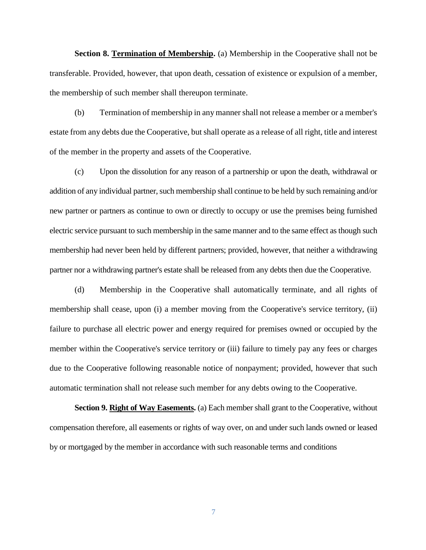**Section 8. Termination of Membership.** (a) Membership in the Cooperative shall not be transferable. Provided, however, that upon death, cessation of existence or expulsion of a member, the membership of such member shall thereupon terminate.

(b) Termination of membership in any manner shall not release a member or a member's estate from any debts due the Cooperative, but shall operate as a release of all right, title and interest of the member in the property and assets of the Cooperative.

(c) Upon the dissolution for any reason of a partnership or upon the death, withdrawal or addition of any individual partner, such membership shall continue to be held by such remaining and/or new partner or partners as continue to own or directly to occupy or use the premises being furnished electric service pursuant to such membership in the same manner and to the same effect as though such membership had never been held by different partners; provided, however, that neither a withdrawing partner nor a withdrawing partner's estate shall be released from any debts then due the Cooperative.

(d) Membership in the Cooperative shall automatically terminate, and all rights of membership shall cease, upon (i) a member moving from the Cooperative's service territory, (ii) failure to purchase all electric power and energy required for premises owned or occupied by the member within the Cooperative's service territory or (iii) failure to timely pay any fees or charges due to the Cooperative following reasonable notice of nonpayment; provided, however that such automatic termination shall not release such member for any debts owing to the Cooperative.

**Section 9. Right of Way Easements.** (a) Each member shall grant to the Cooperative, without compensation therefore, all easements or rights of way over, on and under such lands owned or leased by or mortgaged by the member in accordance with such reasonable terms and conditions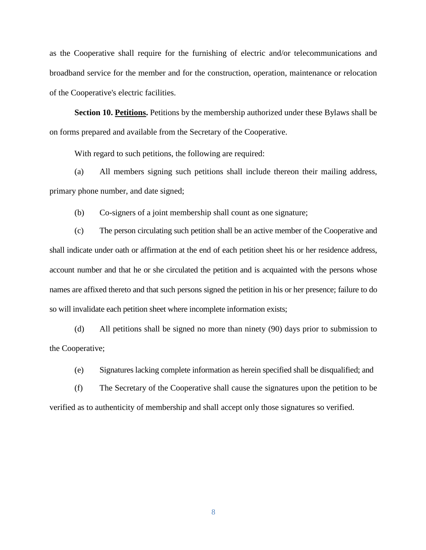as the Cooperative shall require for the furnishing of electric and/or telecommunications and broadband service for the member and for the construction, operation, maintenance or relocation of the Cooperative's electric facilities.

**Section 10. Petitions.** Petitions by the membership authorized under these Bylaws shall be on forms prepared and available from the Secretary of the Cooperative.

With regard to such petitions, the following are required:

(a) All members signing such petitions shall include thereon their mailing address, primary phone number, and date signed;

(b) Co-signers of a joint membership shall count as one signature;

(c) The person circulating such petition shall be an active member of the Cooperative and shall indicate under oath or affirmation at the end of each petition sheet his or her residence address, account number and that he or she circulated the petition and is acquainted with the persons whose names are affixed thereto and that such persons signed the petition in his or her presence; failure to do so will invalidate each petition sheet where incomplete information exists;

(d) All petitions shall be signed no more than ninety (90) days prior to submission to the Cooperative;

(e) Signatures lacking complete information as herein specified shall be disqualified; and

(f) The Secretary of the Cooperative shall cause the signatures upon the petition to be verified as to authenticity of membership and shall accept only those signatures so verified.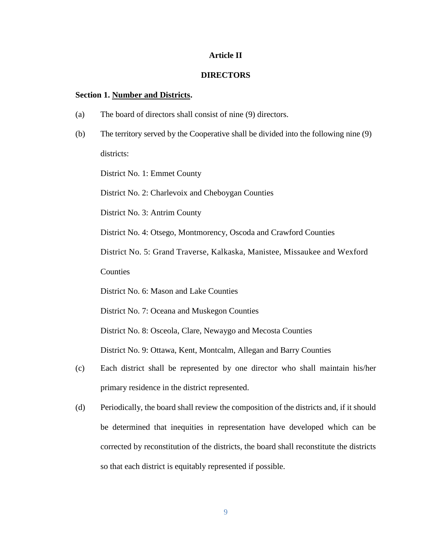#### **Article II**

#### **DIRECTORS**

#### **Section 1. Number and Districts.**

- (a) The board of directors shall consist of nine (9) directors.
- (b) The territory served by the Cooperative shall be divided into the following nine (9) districts:

District No. 1: Emmet County

District No. 2: Charlevoix and Cheboygan Counties

District No. 3: Antrim County

District No. 4: Otsego, Montmorency, Oscoda and Crawford Counties

District No. 5: Grand Traverse, Kalkaska, Manistee, Missaukee and Wexford

**Counties** 

District No. 6: Mason and Lake Counties

District No. 7: Oceana and Muskegon Counties

District No. 8: Osceola, Clare, Newaygo and Mecosta Counties

District No. 9: Ottawa, Kent, Montcalm, Allegan and Barry Counties

- (c) Each district shall be represented by one director who shall maintain his/her primary residence in the district represented.
- (d) Periodically, the board shall review the composition of the districts and, if it should be determined that inequities in representation have developed which can be corrected by reconstitution of the districts, the board shall reconstitute the districts so that each district is equitably represented if possible.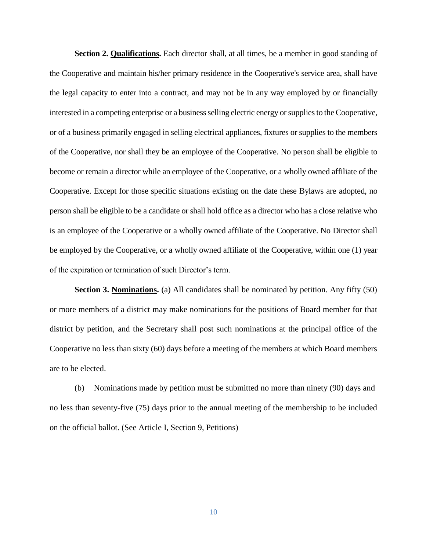**Section 2. Qualifications.** Each director shall, at all times, be a member in good standing of the Cooperative and maintain his/her primary residence in the Cooperative's service area, shall have the legal capacity to enter into a contract, and may not be in any way employed by or financially interested in a competing enterprise or a business selling electric energy or supplies to the Cooperative, or of a business primarily engaged in selling electrical appliances, fixtures or supplies to the members of the Cooperative, nor shall they be an employee of the Cooperative. No person shall be eligible to become or remain a director while an employee of the Cooperative, or a wholly owned affiliate of the Cooperative. Except for those specific situations existing on the date these Bylaws are adopted, no person shall be eligible to be a candidate or shall hold office as a director who has a close relative who is an employee of the Cooperative or a wholly owned affiliate of the Cooperative. No Director shall be employed by the Cooperative, or a wholly owned affiliate of the Cooperative, within one (1) year of the expiration or termination of such Director's term.

**Section 3. Nominations.** (a) All candidates shall be nominated by petition. Any fifty (50) or more members of a district may make nominations for the positions of Board member for that district by petition, and the Secretary shall post such nominations at the principal office of the Cooperative no less than sixty (60) days before a meeting of the members at which Board members are to be elected.

(b) Nominations made by petition must be submitted no more than ninety (90) days and no less than seventy-five (75) days prior to the annual meeting of the membership to be included on the official ballot. (See Article I, Section 9, Petitions)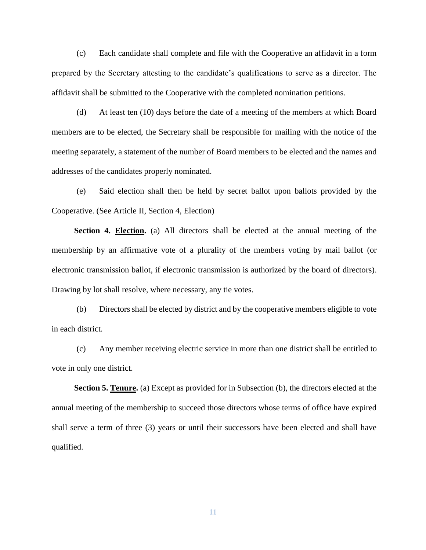(c) Each candidate shall complete and file with the Cooperative an affidavit in a form prepared by the Secretary attesting to the candidate's qualifications to serve as a director. The affidavit shall be submitted to the Cooperative with the completed nomination petitions.

(d) At least ten (10) days before the date of a meeting of the members at which Board members are to be elected, the Secretary shall be responsible for mailing with the notice of the meeting separately, a statement of the number of Board members to be elected and the names and addresses of the candidates properly nominated.

(e) Said election shall then be held by secret ballot upon ballots provided by the Cooperative. (See Article II, Section 4, Election)

**Section 4. Election.** (a) All directors shall be elected at the annual meeting of the membership by an affirmative vote of a plurality of the members voting by mail ballot (or electronic transmission ballot, if electronic transmission is authorized by the board of directors). Drawing by lot shall resolve, where necessary, any tie votes.

(b) Directors shall be elected by district and by the cooperative members eligible to vote in each district.

(c) Any member receiving electric service in more than one district shall be entitled to vote in only one district.

**Section 5. Tenure.** (a) Except as provided for in Subsection (b), the directors elected at the annual meeting of the membership to succeed those directors whose terms of office have expired shall serve a term of three (3) years or until their successors have been elected and shall have qualified.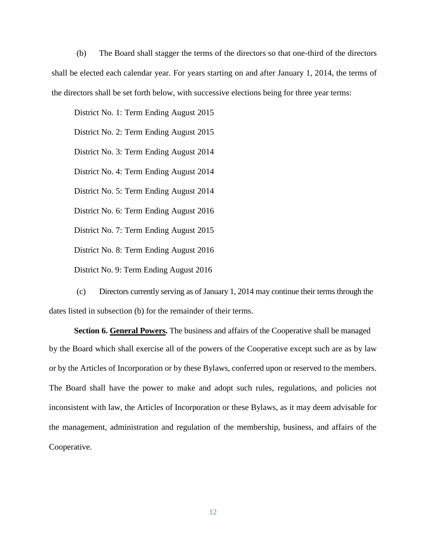(b) The Board shall stagger the terms of the directors so that one-third of the directors shall be elected each calendar year. For years starting on and after January 1, 2014, the terms of the directors shall be set forth below, with successive elections being for three year terms:

District No. 1: Term Ending August 2015

District No. 2: Term Ending August 2015

District No. 3: Term Ending August 2014

District No. 4: Term Ending August 2014

District No. 5: Term Ending August 2014

District No. 6: Term Ending August 2016

District No. 7: Term Ending August 2015

District No. 8: Term Ending August 2016

District No. 9: Term Ending August 2016

(c) Directors currently serving as of January 1, 2014 may continue their terms through the dates listed in subsection (b) for the remainder of their terms.

**Section 6. General Powers.** The business and affairs of the Cooperative shall be managed by the Board which shall exercise all of the powers of the Cooperative except such are as by law or by the Articles of Incorporation or by these Bylaws, conferred upon or reserved to the members. The Board shall have the power to make and adopt such rules, regulations, and policies not inconsistent with law, the Articles of Incorporation or these Bylaws, as it may deem advisable for the management, administration and regulation of the membership, business, and affairs of the Cooperative.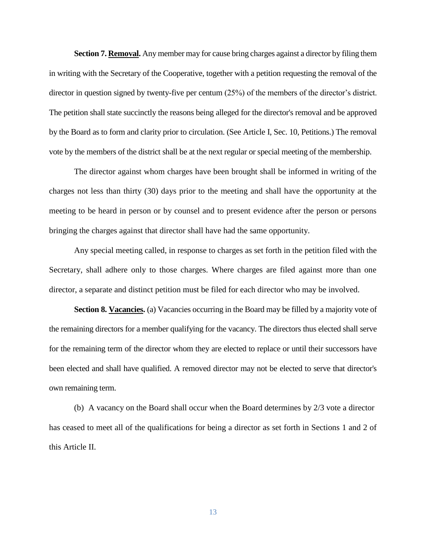**Section 7. Removal.** Any member may for cause bring charges against a director by filing them in writing with the Secretary of the Cooperative, together with a petition requesting the removal of the director in question signed by twenty-five per centum (25%) of the members of the director's district. The petition shall state succinctly the reasons being alleged for the director's removal and be approved by the Board as to form and clarity prior to circulation. (See Article I, Sec. 10, Petitions.) The removal vote by the members of the district shall be at the next regular or special meeting of the membership.

The director against whom charges have been brought shall be informed in writing of the charges not less than thirty (30) days prior to the meeting and shall have the opportunity at the meeting to be heard in person or by counsel and to present evidence after the person or persons bringing the charges against that director shall have had the same opportunity.

Any special meeting called, in response to charges as set forth in the petition filed with the Secretary, shall adhere only to those charges. Where charges are filed against more than one director, a separate and distinct petition must be filed for each director who may be involved.

**Section 8. Vacancies.** (a) Vacancies occurring in the Board may be filled by a majority vote of the remaining directors for a member qualifying for the vacancy. The directors thus elected shall serve for the remaining term of the director whom they are elected to replace or until their successors have been elected and shall have qualified. A removed director may not be elected to serve that director's own remaining term.

(b) A vacancy on the Board shall occur when the Board determines by 2/3 vote a director has ceased to meet all of the qualifications for being a director as set forth in Sections 1 and 2 of this Article II.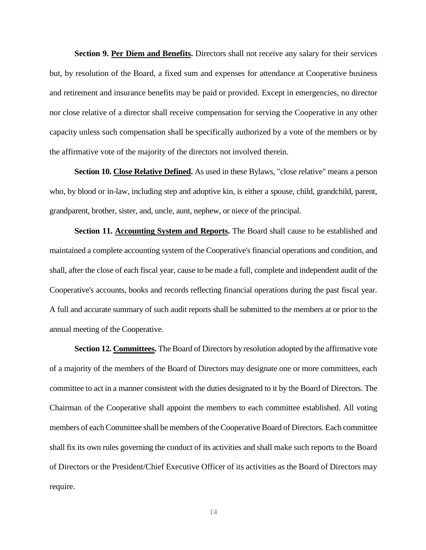**Section 9. Per Diem and Benefits.** Directors shall not receive any salary for their services but, by resolution of the Board, a fixed sum and expenses for attendance at Cooperative business and retirement and insurance benefits may be paid or provided. Except in emergencies, no director nor close relative of a director shall receive compensation for serving the Cooperative in any other capacity unless such compensation shall be specifically authorized by a vote of the members or by the affirmative vote of the majority of the directors not involved therein.

**Section 10. Close Relative Defined.** As used in these Bylaws, "close relative" means a person who, by blood or in-law, including step and adoptive kin, is either a spouse, child, grandchild, parent, grandparent, brother, sister, and, uncle, aunt, nephew, or niece of the principal.

**Section 11. Accounting System and Reports.** The Board shall cause to be established and maintained a complete accounting system of the Cooperative's financial operations and condition, and shall, after the close of each fiscal year, cause to be made a full, complete and independent audit of the Cooperative's accounts, books and records reflecting financial operations during the past fiscal year. A full and accurate summary of such audit reports shall be submitted to the members at or prior to the annual meeting of the Cooperative.

**Section 12. Committees.** The Board of Directors by resolution adopted by the affirmative vote of a majority of the members of the Board of Directors may designate one or more committees, each committee to act in a manner consistent with the duties designated to it by the Board of Directors. The Chairman of the Cooperative shall appoint the members to each committee established. All voting members of each Committee shall be members of the Cooperative Board of Directors. Each committee shall fix its own rules governing the conduct of its activities and shall make such reports to the Board of Directors or the President/Chief Executive Officer of its activities as the Board of Directors may require.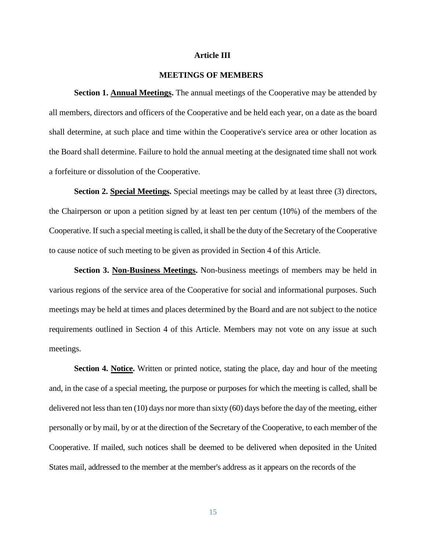#### **Article III**

# **MEETINGS OF MEMBERS**

**Section 1. Annual Meetings.** The annual meetings of the Cooperative may be attended by all members, directors and officers of the Cooperative and be held each year, on a date as the board shall determine, at such place and time within the Cooperative's service area or other location as the Board shall determine. Failure to hold the annual meeting at the designated time shall not work a forfeiture or dissolution of the Cooperative.

**Section 2. Special Meetings.** Special meetings may be called by at least three (3) directors, the Chairperson or upon a petition signed by at least ten per centum (10%) of the members of the Cooperative. If such a special meeting is called, it shall be the duty of the Secretary of the Cooperative to cause notice of such meeting to be given as provided in Section 4 of this Article.

**Section 3. Non-Business Meetings.** Non-business meetings of members may be held in various regions of the service area of the Cooperative for social and informational purposes. Such meetings may be held at times and places determined by the Board and are not subject to the notice requirements outlined in Section 4 of this Article. Members may not vote on any issue at such meetings.

**Section 4. Notice.** Written or printed notice, stating the place, day and hour of the meeting and, in the case of a special meeting, the purpose or purposes for which the meeting is called, shall be delivered not less than ten (10) days nor more than sixty (60) days before the day of the meeting, either personally or by mail, by or at the direction of the Secretary of the Cooperative, to each member of the Cooperative. If mailed, such notices shall be deemed to be delivered when deposited in the United States mail, addressed to the member at the member's address as it appears on the records of the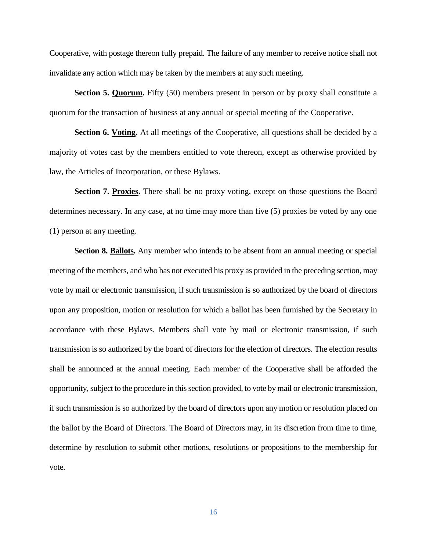Cooperative, with postage thereon fully prepaid. The failure of any member to receive notice shall not invalidate any action which may be taken by the members at any such meeting.

**Section 5. Quorum.** Fifty (50) members present in person or by proxy shall constitute a quorum for the transaction of business at any annual or special meeting of the Cooperative.

**Section 6. Voting.** At all meetings of the Cooperative, all questions shall be decided by a majority of votes cast by the members entitled to vote thereon, except as otherwise provided by law, the Articles of Incorporation, or these Bylaws.

**Section 7. Proxies.** There shall be no proxy voting, except on those questions the Board determines necessary. In any case, at no time may more than five (5) proxies be voted by any one (1) person at any meeting.

**Section 8. Ballots.** Any member who intends to be absent from an annual meeting or special meeting of the members, and who has not executed his proxy as provided in the preceding section, may vote by mail or electronic transmission, if such transmission is so authorized by the board of directors upon any proposition, motion or resolution for which a ballot has been furnished by the Secretary in accordance with these Bylaws. Members shall vote by mail or electronic transmission, if such transmission is so authorized by the board of directors for the election of directors. The election results shall be announced at the annual meeting. Each member of the Cooperative shall be afforded the opportunity, subject to the procedure in this section provided, to vote by mail or electronic transmission, if such transmission is so authorized by the board of directors upon any motion or resolution placed on the ballot by the Board of Directors. The Board of Directors may, in its discretion from time to time, determine by resolution to submit other motions, resolutions or propositions to the membership for vote.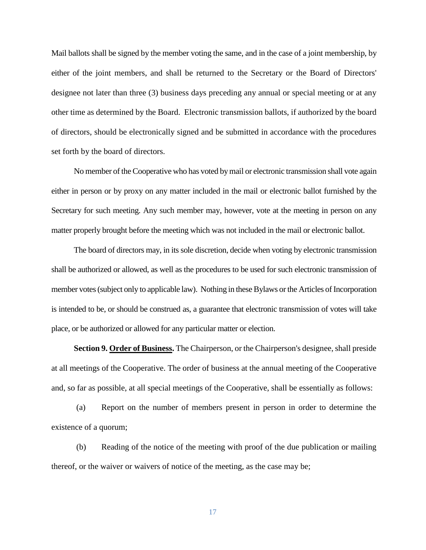Mail ballots shall be signed by the member voting the same, and in the case of a joint membership, by either of the joint members, and shall be returned to the Secretary or the Board of Directors' designee not later than three (3) business days preceding any annual or special meeting or at any other time as determined by the Board. Electronic transmission ballots, if authorized by the board of directors, should be electronically signed and be submitted in accordance with the procedures set forth by the board of directors.

No member of the Cooperative who has voted by mail or electronic transmission shall vote again either in person or by proxy on any matter included in the mail or electronic ballot furnished by the Secretary for such meeting. Any such member may, however, vote at the meeting in person on any matter properly brought before the meeting which was not included in the mail or electronic ballot.

The board of directors may, in its sole discretion, decide when voting by electronic transmission shall be authorized or allowed, as well as the procedures to be used for such electronic transmission of member votes (subject only to applicable law). Nothing in these Bylaws or the Articles of Incorporation is intended to be, or should be construed as, a guarantee that electronic transmission of votes will take place, or be authorized or allowed for any particular matter or election.

**Section 9. Order of Business.** The Chairperson, or the Chairperson's designee, shall preside at all meetings of the Cooperative. The order of business at the annual meeting of the Cooperative and, so far as possible, at all special meetings of the Cooperative, shall be essentially as follows:

(a) Report on the number of members present in person in order to determine the existence of a quorum;

(b) Reading of the notice of the meeting with proof of the due publication or mailing thereof, or the waiver or waivers of notice of the meeting, as the case may be;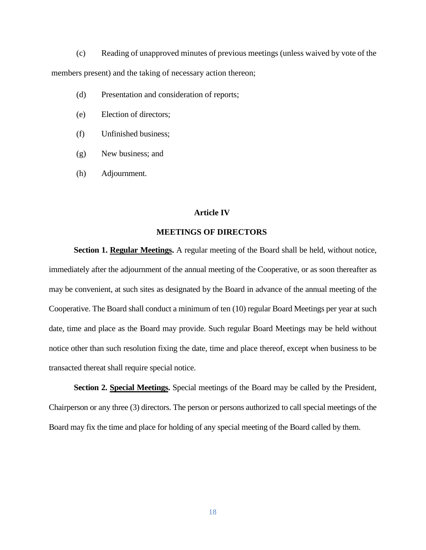(c) Reading of unapproved minutes of previous meetings (unless waived by vote of the members present) and the taking of necessary action thereon;

- (d) Presentation and consideration of reports;
- (e) Election of directors;
- (f) Unfinished business;
- (g) New business; and
- (h) Adjournment.

#### **Article IV**

## **MEETINGS OF DIRECTORS**

**Section 1. Regular Meetings.** A regular meeting of the Board shall be held, without notice, immediately after the adjournment of the annual meeting of the Cooperative, or as soon thereafter as may be convenient, at such sites as designated by the Board in advance of the annual meeting of the Cooperative. The Board shall conduct a minimum of ten (10) regular Board Meetings per year at such date, time and place as the Board may provide. Such regular Board Meetings may be held without notice other than such resolution fixing the date, time and place thereof, except when business to be transacted thereat shall require special notice.

**Section 2. Special Meetings.** Special meetings of the Board may be called by the President, Chairperson or any three (3) directors. The person or persons authorized to call special meetings of the Board may fix the time and place for holding of any special meeting of the Board called by them.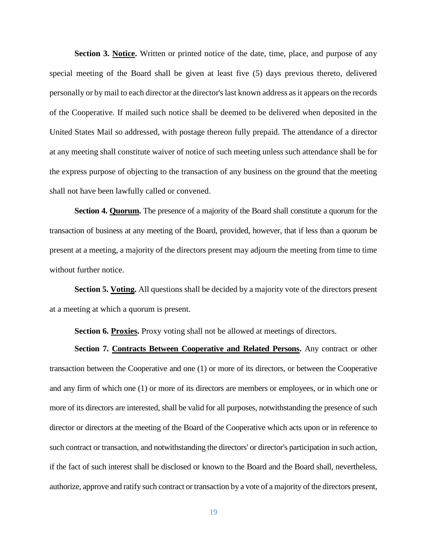**Section 3. Notice.** Written or printed notice of the date, time, place, and purpose of any special meeting of the Board shall be given at least five (5) days previous thereto, delivered personally or by mail to each director at the director's last known address as it appears on the records of the Cooperative. If mailed such notice shall be deemed to be delivered when deposited in the United States Mail so addressed, with postage thereon fully prepaid. The attendance of a director at any meeting shall constitute waiver of notice of such meeting unless such attendance shall be for the express purpose of objecting to the transaction of any business on the ground that the meeting shall not have been lawfully called or convened.

**Section 4. Quorum.** The presence of a majority of the Board shall constitute a quorum for the transaction of business at any meeting of the Board, provided, however, that if less than a quorum be present at a meeting, a majority of the directors present may adjourn the meeting from time to time without further notice.

**Section 5. Voting.** All questions shall be decided by a majority vote of the directors present at a meeting at which a quorum is present.

**Section 6. Proxies.** Proxy voting shall not be allowed at meetings of directors.

**Section 7. Contracts Between Cooperative and Related Persons.** Any contract or other transaction between the Cooperative and one (1) or more of its directors, or between the Cooperative and any firm of which one (1) or more of its directors are members or employees, or in which one or more of its directors are interested, shall be valid for all purposes, notwithstanding the presence of such director or directors at the meeting of the Board of the Cooperative which acts upon or in reference to such contract or transaction, and notwithstanding the directors' or director's participation in such action, if the fact of such interest shall be disclosed or known to the Board and the Board shall, nevertheless, authorize, approve and ratify such contract or transaction by a vote of a majority of the directors present,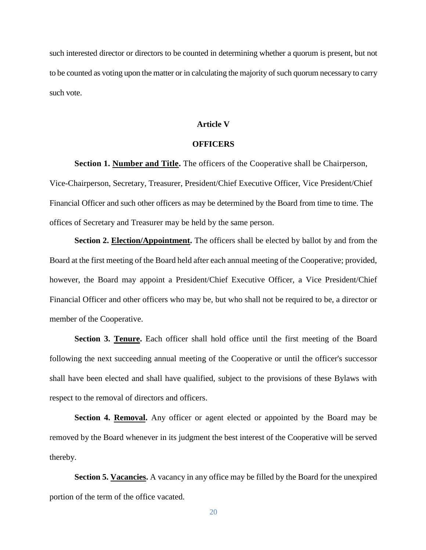such interested director or directors to be counted in determining whether a quorum is present, but not to be counted as voting upon the matter or in calculating the majority of such quorum necessary to carry such vote.

#### **Article V**

#### **OFFICERS**

**Section 1. Number and Title.** The officers of the Cooperative shall be Chairperson, Vice-Chairperson, Secretary, Treasurer, President/Chief Executive Officer, Vice President/Chief Financial Officer and such other officers as may be determined by the Board from time to time. The offices of Secretary and Treasurer may be held by the same person.

**Section 2. Election/Appointment.** The officers shall be elected by ballot by and from the Board at the first meeting of the Board held after each annual meeting of the Cooperative; provided, however, the Board may appoint a President/Chief Executive Officer, a Vice President/Chief Financial Officer and other officers who may be, but who shall not be required to be, a director or member of the Cooperative.

**Section 3. Tenure.** Each officer shall hold office until the first meeting of the Board following the next succeeding annual meeting of the Cooperative or until the officer's successor shall have been elected and shall have qualified, subject to the provisions of these Bylaws with respect to the removal of directors and officers.

Section 4. **Removal.** Any officer or agent elected or appointed by the Board may be removed by the Board whenever in its judgment the best interest of the Cooperative will be served thereby.

**Section 5. Vacancies.** A vacancy in any office may be filled by the Board for the unexpired portion of the term of the office vacated.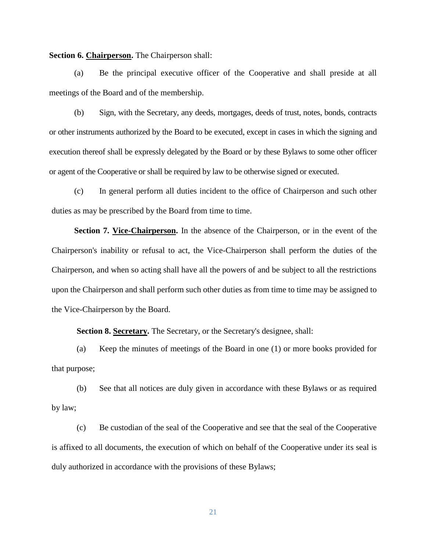**Section 6. Chairperson.** The Chairperson shall:

(a) Be the principal executive officer of the Cooperative and shall preside at all meetings of the Board and of the membership.

(b) Sign, with the Secretary, any deeds, mortgages, deeds of trust, notes, bonds, contracts or other instruments authorized by the Board to be executed, except in cases in which the signing and execution thereof shall be expressly delegated by the Board or by these Bylaws to some other officer or agent of the Cooperative or shall be required by law to be otherwise signed or executed.

(c) In general perform all duties incident to the office of Chairperson and such other duties as may be prescribed by the Board from time to time.

**Section 7. Vice-Chairperson.** In the absence of the Chairperson, or in the event of the Chairperson's inability or refusal to act, the Vice-Chairperson shall perform the duties of the Chairperson, and when so acting shall have all the powers of and be subject to all the restrictions upon the Chairperson and shall perform such other duties as from time to time may be assigned to the Vice-Chairperson by the Board.

**Section 8. Secretary.** The Secretary, or the Secretary's designee, shall:

(a) Keep the minutes of meetings of the Board in one (1) or more books provided for that purpose;

(b) See that all notices are duly given in accordance with these Bylaws or as required by law;

(c) Be custodian of the seal of the Cooperative and see that the seal of the Cooperative is affixed to all documents, the execution of which on behalf of the Cooperative under its seal is duly authorized in accordance with the provisions of these Bylaws;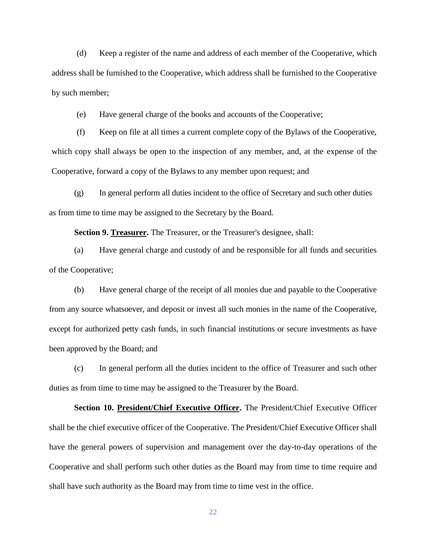(d) Keep a register of the name and address of each member of the Cooperative, which address shall be furnished to the Cooperative, which address shall be furnished to the Cooperative by such member;

(e) Have general charge of the books and accounts of the Cooperative;

(f) Keep on file at all times a current complete copy of the Bylaws of the Cooperative, which copy shall always be open to the inspection of any member, and, at the expense of the Cooperative, forward a copy of the Bylaws to any member upon request; and

(g) In general perform all duties incident to the office of Secretary and such other duties as from time to time may be assigned to the Secretary by the Board.

**Section 9. Treasurer.** The Treasurer, or the Treasurer's designee, shall:

(a) Have general charge and custody of and be responsible for all funds and securities of the Cooperative;

(b) Have general charge of the receipt of all monies due and payable to the Cooperative from any source whatsoever, and deposit or invest all such monies in the name of the Cooperative, except for authorized petty cash funds, in such financial institutions or secure investments as have been approved by the Board; and

(c) In general perform all the duties incident to the office of Treasurer and such other duties as from time to time may be assigned to the Treasurer by the Board.

**Section 10. President/Chief Executive Officer.** The President/Chief Executive Officer shall be the chief executive officer of the Cooperative. The President/Chief Executive Officer shall have the general powers of supervision and management over the day-to-day operations of the Cooperative and shall perform such other duties as the Board may from time to time require and shall have such authority as the Board may from time to time vest in the office.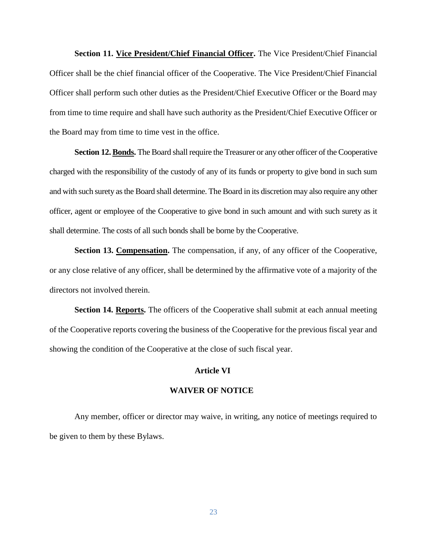**Section 11. Vice President/Chief Financial Officer.** The Vice President/Chief Financial Officer shall be the chief financial officer of the Cooperative. The Vice President/Chief Financial Officer shall perform such other duties as the President/Chief Executive Officer or the Board may from time to time require and shall have such authority as the President/Chief Executive Officer or the Board may from time to time vest in the office.

**Section 12. Bonds.** The Board shall require the Treasurer or any other officer of the Cooperative charged with the responsibility of the custody of any of its funds or property to give bond in such sum and with such surety as the Board shall determine. The Board in its discretion may also require any other officer, agent or employee of the Cooperative to give bond in such amount and with such surety as it shall determine. The costs of all such bonds shall be borne by the Cooperative.

**Section 13. Compensation.** The compensation, if any, of any officer of the Cooperative, or any close relative of any officer, shall be determined by the affirmative vote of a majority of the directors not involved therein.

**Section 14. Reports.** The officers of the Cooperative shall submit at each annual meeting of the Cooperative reports covering the business of the Cooperative for the previous fiscal year and showing the condition of the Cooperative at the close of such fiscal year.

# **Article VI**

# **WAIVER OF NOTICE**

Any member, officer or director may waive, in writing, any notice of meetings required to be given to them by these Bylaws.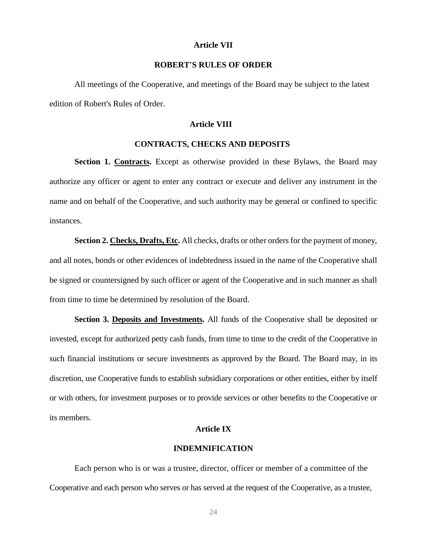#### **Article VII**

# **ROBERT'S RULES OF ORDER**

All meetings of the Cooperative, and meetings of the Board may be subject to the latest edition of Robert's Rules of Order.

#### **Article VIII**

#### **CONTRACTS, CHECKS AND DEPOSITS**

**Section 1. Contracts.** Except as otherwise provided in these Bylaws, the Board may authorize any officer or agent to enter any contract or execute and deliver any instrument in the name and on behalf of the Cooperative, and such authority may be general or confined to specific instances.

**Section 2. Checks, Drafts, Etc.** All checks, drafts or other orders for the payment of money, and all notes, bonds or other evidences of indebtedness issued in the name of the Cooperative shall be signed or countersigned by such officer or agent of the Cooperative and in such manner as shall from time to time be determined by resolution of the Board.

**Section 3. Deposits and Investments.** All funds of the Cooperative shall be deposited or invested, except for authorized petty cash funds, from time to time to the credit of the Cooperative in such financial institutions or secure investments as approved by the Board. The Board may, in its discretion, use Cooperative funds to establish subsidiary corporations or other entities, either by itself or with others, for investment purposes or to provide services or other benefits to the Cooperative or its members.

# **Article IX**

# **INDEMNIFICATION**

Each person who is or was a trustee, director, officer or member of a committee of the Cooperative and each person who serves or has served at the request of the Cooperative, as a trustee,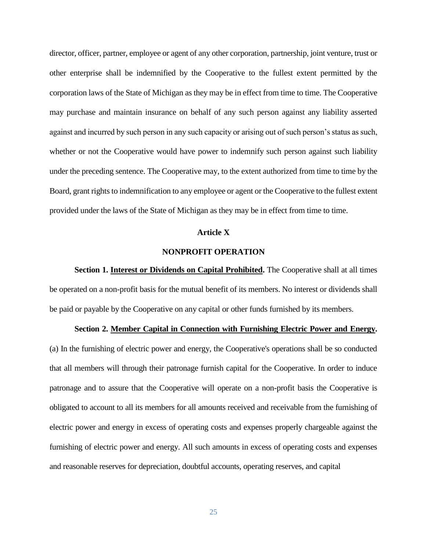director, officer, partner, employee or agent of any other corporation, partnership, joint venture, trust or other enterprise shall be indemnified by the Cooperative to the fullest extent permitted by the corporation laws of the State of Michigan as they may be in effect from time to time. The Cooperative may purchase and maintain insurance on behalf of any such person against any liability asserted against and incurred by such person in any such capacity or arising out of such person's status as such, whether or not the Cooperative would have power to indemnify such person against such liability under the preceding sentence. The Cooperative may, to the extent authorized from time to time by the Board, grant rights to indemnification to any employee or agent or the Cooperative to the fullest extent provided under the laws of the State of Michigan as they may be in effect from time to time.

#### **Article X**

# **NONPROFIT OPERATION**

**Section 1. Interest or Dividends on Capital Prohibited.** The Cooperative shall at all times be operated on a non-profit basis for the mutual benefit of its members. No interest or dividends shall be paid or payable by the Cooperative on any capital or other funds furnished by its members.

# **Section 2. Member Capital in Connection with Furnishing Electric Power and Energy.**

(a) In the furnishing of electric power and energy, the Cooperative's operations shall be so conducted that all members will through their patronage furnish capital for the Cooperative. In order to induce patronage and to assure that the Cooperative will operate on a non-profit basis the Cooperative is obligated to account to all its members for all amounts received and receivable from the furnishing of electric power and energy in excess of operating costs and expenses properly chargeable against the furnishing of electric power and energy. All such amounts in excess of operating costs and expenses and reasonable reserves for depreciation, doubtful accounts, operating reserves, and capital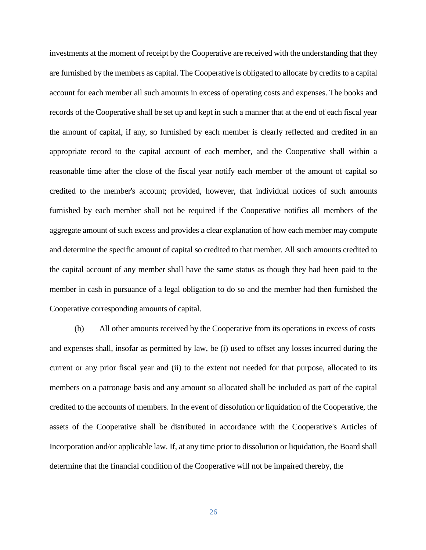investments at the moment of receipt by the Cooperative are received with the understanding that they are furnished by the members as capital. The Cooperative is obligated to allocate by credits to a capital account for each member all such amounts in excess of operating costs and expenses. The books and records of the Cooperative shall be set up and kept in such a manner that at the end of each fiscal year the amount of capital, if any, so furnished by each member is clearly reflected and credited in an appropriate record to the capital account of each member, and the Cooperative shall within a reasonable time after the close of the fiscal year notify each member of the amount of capital so credited to the member's account; provided, however, that individual notices of such amounts furnished by each member shall not be required if the Cooperative notifies all members of the aggregate amount of such excess and provides a clear explanation of how each member may compute and determine the specific amount of capital so credited to that member. All such amounts credited to the capital account of any member shall have the same status as though they had been paid to the member in cash in pursuance of a legal obligation to do so and the member had then furnished the Cooperative corresponding amounts of capital.

(b) All other amounts received by the Cooperative from its operations in excess of costs and expenses shall, insofar as permitted by law, be (i) used to offset any losses incurred during the current or any prior fiscal year and (ii) to the extent not needed for that purpose, allocated to its members on a patronage basis and any amount so allocated shall be included as part of the capital credited to the accounts of members. In the event of dissolution or liquidation of the Cooperative, the assets of the Cooperative shall be distributed in accordance with the Cooperative's Articles of Incorporation and/or applicable law. If, at any time prior to dissolution or liquidation, the Board shall determine that the financial condition of the Cooperative will not be impaired thereby, the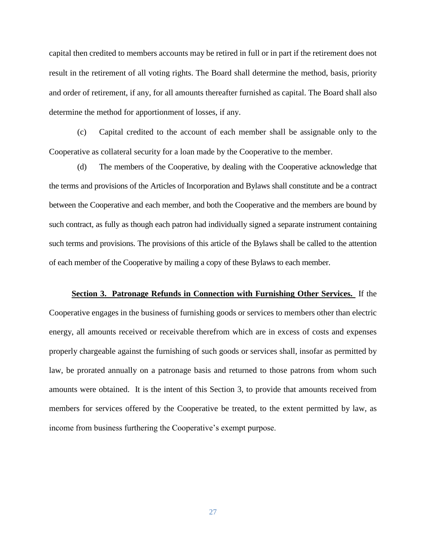capital then credited to members accounts may be retired in full or in part if the retirement does not result in the retirement of all voting rights. The Board shall determine the method, basis, priority and order of retirement, if any, for all amounts thereafter furnished as capital. The Board shall also determine the method for apportionment of losses, if any.

(c) Capital credited to the account of each member shall be assignable only to the Cooperative as collateral security for a loan made by the Cooperative to the member.

(d) The members of the Cooperative, by dealing with the Cooperative acknowledge that the terms and provisions of the Articles of Incorporation and Bylaws shall constitute and be a contract between the Cooperative and each member, and both the Cooperative and the members are bound by such contract, as fully as though each patron had individually signed a separate instrument containing such terms and provisions. The provisions of this article of the Bylaws shall be called to the attention of each member of the Cooperative by mailing a copy of these Bylaws to each member.

# **Section 3. Patronage Refunds in Connection with Furnishing Other Services.** If the Cooperative engages in the business of furnishing goods or services to members other than electric energy, all amounts received or receivable therefrom which are in excess of costs and expenses properly chargeable against the furnishing of such goods or services shall, insofar as permitted by law, be prorated annually on a patronage basis and returned to those patrons from whom such amounts were obtained. It is the intent of this Section 3, to provide that amounts received from members for services offered by the Cooperative be treated, to the extent permitted by law, as income from business furthering the Cooperative's exempt purpose.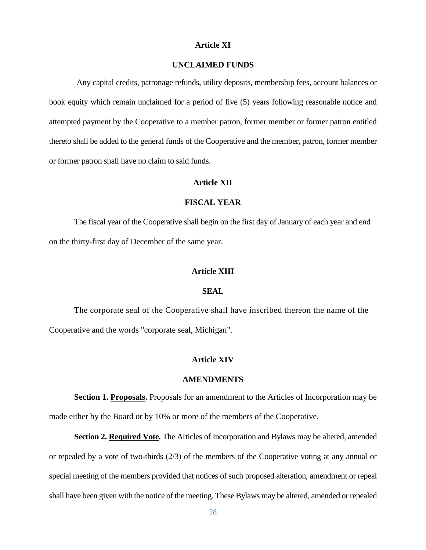# **Article XI**

# **UNCLAIMED FUNDS**

Any capital credits, patronage refunds, utility deposits, membership fees, account balances or book equity which remain unclaimed for a period of five (5) years following reasonable notice and attempted payment by the Cooperative to a member patron, former member or former patron entitled thereto shall be added to the general funds of the Cooperative and the member, patron, former member or former patron shall have no claim to said funds.

# **Article XII**

# **FISCAL YEAR**

The fiscal year of the Cooperative shall begin on the first day of January of each year and end on the thirty-first day of December of the same year.

# **Article XIII**

# **SEAL**

The corporate seal of the Cooperative shall have inscribed thereon the name of the Cooperative and the words "corporate seal, Michigan".

# **Article XIV**

## **AMENDMENTS**

**Section 1. Proposals.** Proposals for an amendment to the Articles of Incorporation may be made either by the Board or by 10% or more of the members of the Cooperative.

**Section 2. Required Vote.** The Articles of Incorporation and Bylaws may be altered, amended or repealed by a vote of two-thirds  $(2/3)$  of the members of the Cooperative voting at any annual or special meeting of the members provided that notices of such proposed alteration, amendment or repeal shall have been given with the notice of the meeting. These Bylaws may be altered, amended or repealed